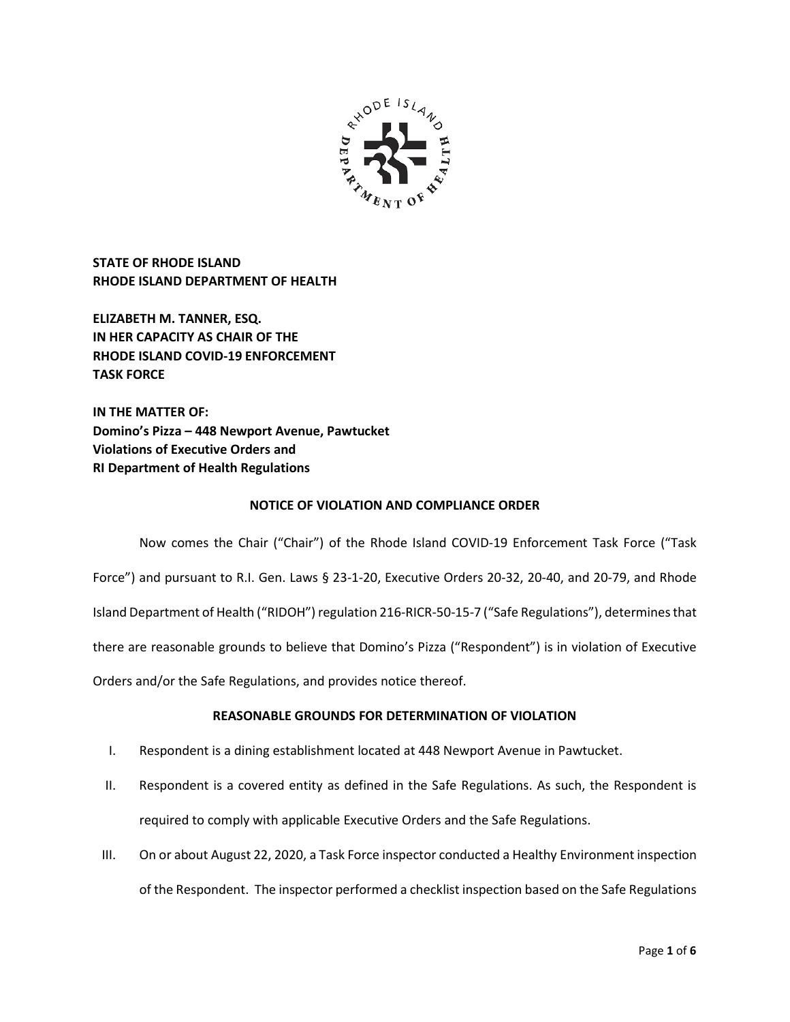

**STATE OF RHODE ISLAND RHODE ISLAND DEPARTMENT OF HEALTH**

**ELIZABETH M. TANNER, ESQ. IN HER CAPACITY AS CHAIR OF THE RHODE ISLAND COVID-19 ENFORCEMENT TASK FORCE** 

**IN THE MATTER OF: Domino's Pizza – 448 Newport Avenue, Pawtucket Violations of Executive Orders and RI Department of Health Regulations**

# **NOTICE OF VIOLATION AND COMPLIANCE ORDER**

Now comes the Chair ("Chair") of the Rhode Island COVID-19 Enforcement Task Force ("Task Force") and pursuant to R.I. Gen. Laws § 23-1-20, Executive Orders 20-32, 20-40, and 20-79, and Rhode Island Department of Health ("RIDOH") regulation 216-RICR-50-15-7 ("Safe Regulations"), determines that there are reasonable grounds to believe that Domino's Pizza ("Respondent") is in violation of Executive Orders and/or the Safe Regulations, and provides notice thereof.

# **REASONABLE GROUNDS FOR DETERMINATION OF VIOLATION**

- I. Respondent is a dining establishment located at 448 Newport Avenue in Pawtucket.
- II. Respondent is a covered entity as defined in the Safe Regulations. As such, the Respondent is required to comply with applicable Executive Orders and the Safe Regulations.
- III. On or about August 22, 2020, a Task Force inspector conducted a Healthy Environment inspection of the Respondent. The inspector performed a checklist inspection based on the Safe Regulations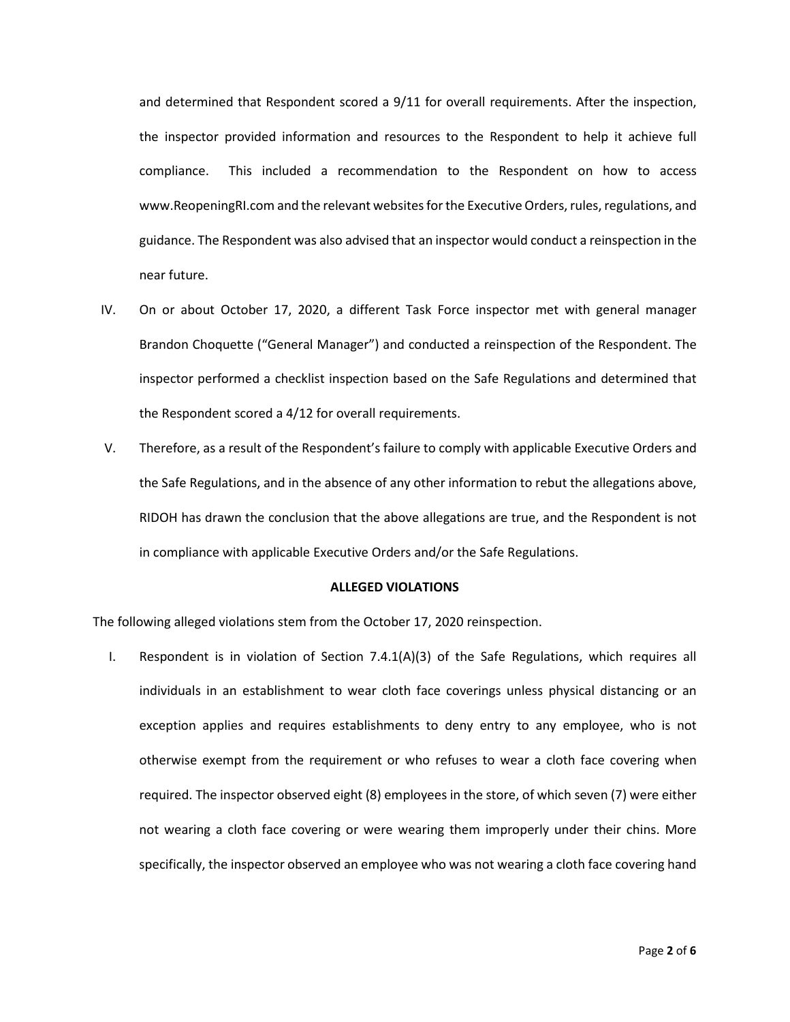and determined that Respondent scored a 9/11 for overall requirements. After the inspection, the inspector provided information and resources to the Respondent to help it achieve full compliance. This included a recommendation to the Respondent on how to access www.ReopeningRI.com and the relevant websites for the Executive Orders, rules, regulations, and guidance. The Respondent was also advised that an inspector would conduct a reinspection in the near future.

- IV. On or about October 17, 2020, a different Task Force inspector met with general manager Brandon Choquette ("General Manager") and conducted a reinspection of the Respondent. The inspector performed a checklist inspection based on the Safe Regulations and determined that the Respondent scored a 4/12 for overall requirements.
- V. Therefore, as a result of the Respondent's failure to comply with applicable Executive Orders and the Safe Regulations, and in the absence of any other information to rebut the allegations above, RIDOH has drawn the conclusion that the above allegations are true, and the Respondent is not in compliance with applicable Executive Orders and/or the Safe Regulations.

## **ALLEGED VIOLATIONS**

The following alleged violations stem from the October 17, 2020 reinspection.

I. Respondent is in violation of Section 7.4.1(A)(3) of the Safe Regulations, which requires all individuals in an establishment to wear cloth face coverings unless physical distancing or an exception applies and requires establishments to deny entry to any employee, who is not otherwise exempt from the requirement or who refuses to wear a cloth face covering when required. The inspector observed eight (8) employees in the store, of which seven (7) were either not wearing a cloth face covering or were wearing them improperly under their chins. More specifically, the inspector observed an employee who was not wearing a cloth face covering hand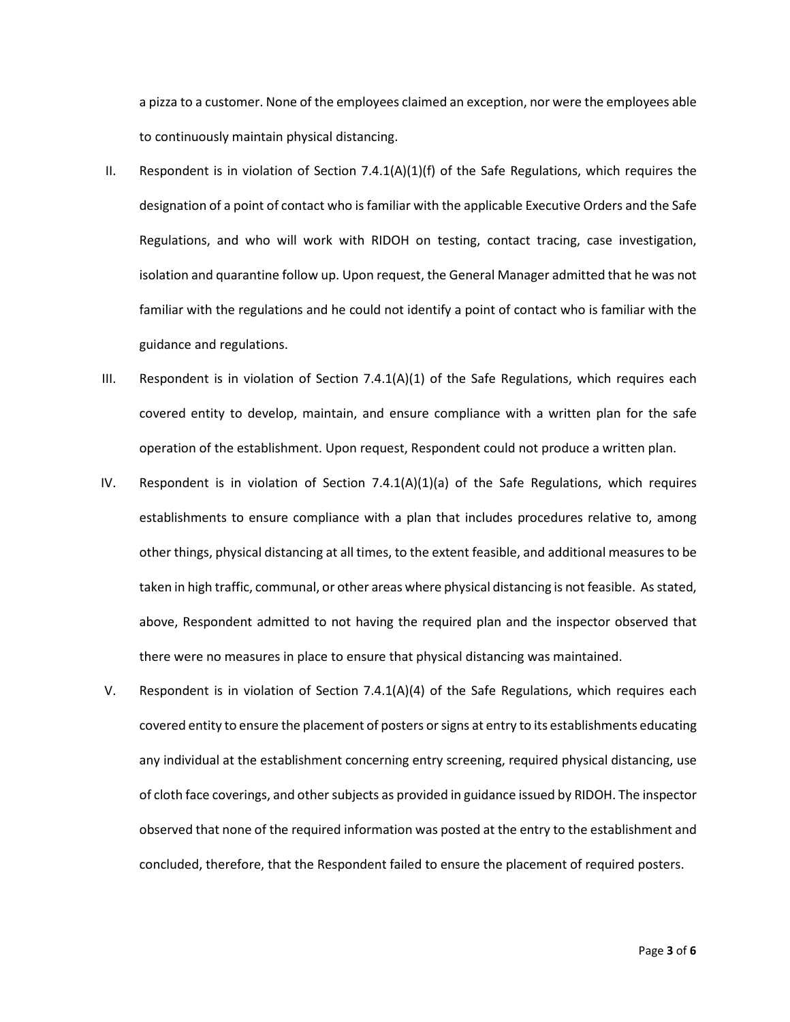a pizza to a customer. None of the employees claimed an exception, nor were the employees able to continuously maintain physical distancing.

- II. Respondent is in violation of Section 7.4.1(A)(1)(f) of the Safe Regulations, which requires the designation of a point of contact who is familiar with the applicable Executive Orders and the Safe Regulations, and who will work with RIDOH on testing, contact tracing, case investigation, isolation and quarantine follow up. Upon request, the General Manager admitted that he was not familiar with the regulations and he could not identify a point of contact who is familiar with the guidance and regulations.
- III. Respondent is in violation of Section 7.4.1(A)(1) of the Safe Regulations, which requires each covered entity to develop, maintain, and ensure compliance with a written plan for the safe operation of the establishment. Upon request, Respondent could not produce a written plan.
- IV. Respondent is in violation of Section 7.4.1(A)(1)(a) of the Safe Regulations, which requires establishments to ensure compliance with a plan that includes procedures relative to, among other things, physical distancing at all times, to the extent feasible, and additional measures to be taken in high traffic, communal, or other areas where physical distancing is not feasible. As stated, above, Respondent admitted to not having the required plan and the inspector observed that there were no measures in place to ensure that physical distancing was maintained.
- V. Respondent is in violation of Section 7.4.1(A)(4) of the Safe Regulations, which requires each covered entity to ensure the placement of posters or signs at entry to its establishments educating any individual at the establishment concerning entry screening, required physical distancing, use of cloth face coverings, and other subjects as provided in guidance issued by RIDOH. The inspector observed that none of the required information was posted at the entry to the establishment and concluded, therefore, that the Respondent failed to ensure the placement of required posters.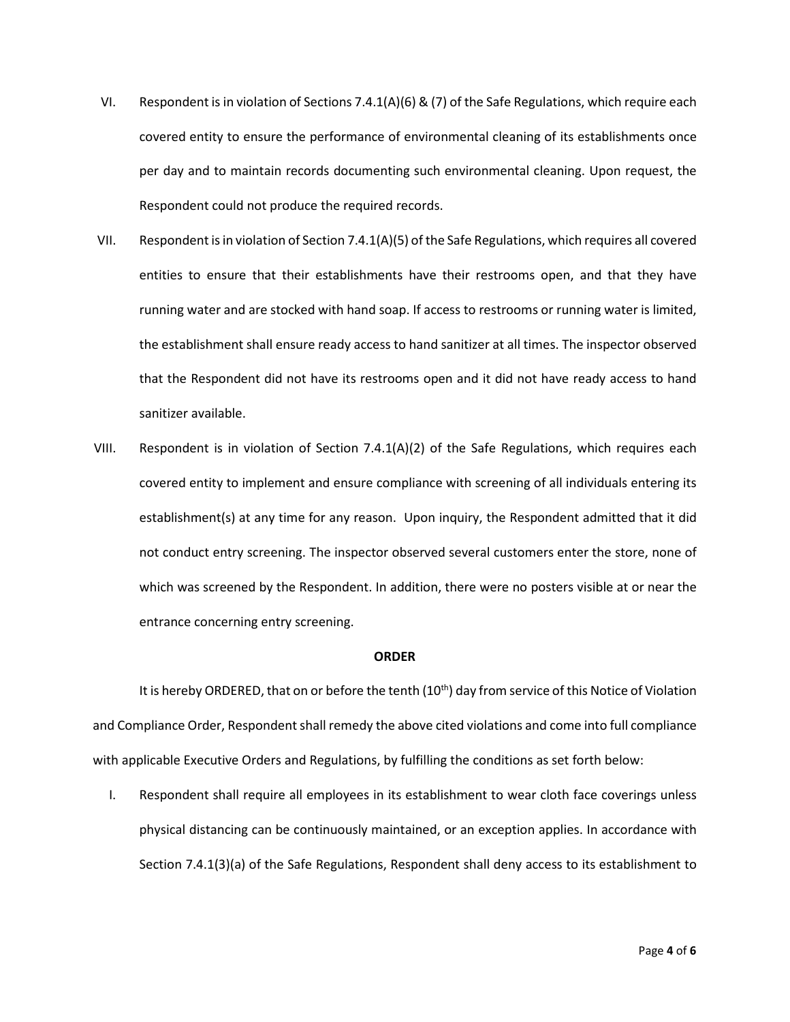- VI. Respondent is in violation of Sections 7.4.1(A)(6) & (7) of the Safe Regulations, which require each covered entity to ensure the performance of environmental cleaning of its establishments once per day and to maintain records documenting such environmental cleaning. Upon request, the Respondent could not produce the required records.
- VII. Respondent is in violation of Section 7.4.1(A)(5) of the Safe Regulations, which requires all covered entities to ensure that their establishments have their restrooms open, and that they have running water and are stocked with hand soap. If access to restrooms or running water is limited, the establishment shall ensure ready access to hand sanitizer at all times. The inspector observed that the Respondent did not have its restrooms open and it did not have ready access to hand sanitizer available.
- VIII. Respondent is in violation of Section 7.4.1(A)(2) of the Safe Regulations, which requires each covered entity to implement and ensure compliance with screening of all individuals entering its establishment(s) at any time for any reason. Upon inquiry, the Respondent admitted that it did not conduct entry screening. The inspector observed several customers enter the store, none of which was screened by the Respondent. In addition, there were no posters visible at or near the entrance concerning entry screening.

### **ORDER**

It is hereby ORDERED, that on or before the tenth (10<sup>th</sup>) day from service of this Notice of Violation and Compliance Order, Respondent shall remedy the above cited violations and come into full compliance with applicable Executive Orders and Regulations, by fulfilling the conditions as set forth below:

I. Respondent shall require all employees in its establishment to wear cloth face coverings unless physical distancing can be continuously maintained, or an exception applies. In accordance with Section 7.4.1(3)(a) of the Safe Regulations, Respondent shall deny access to its establishment to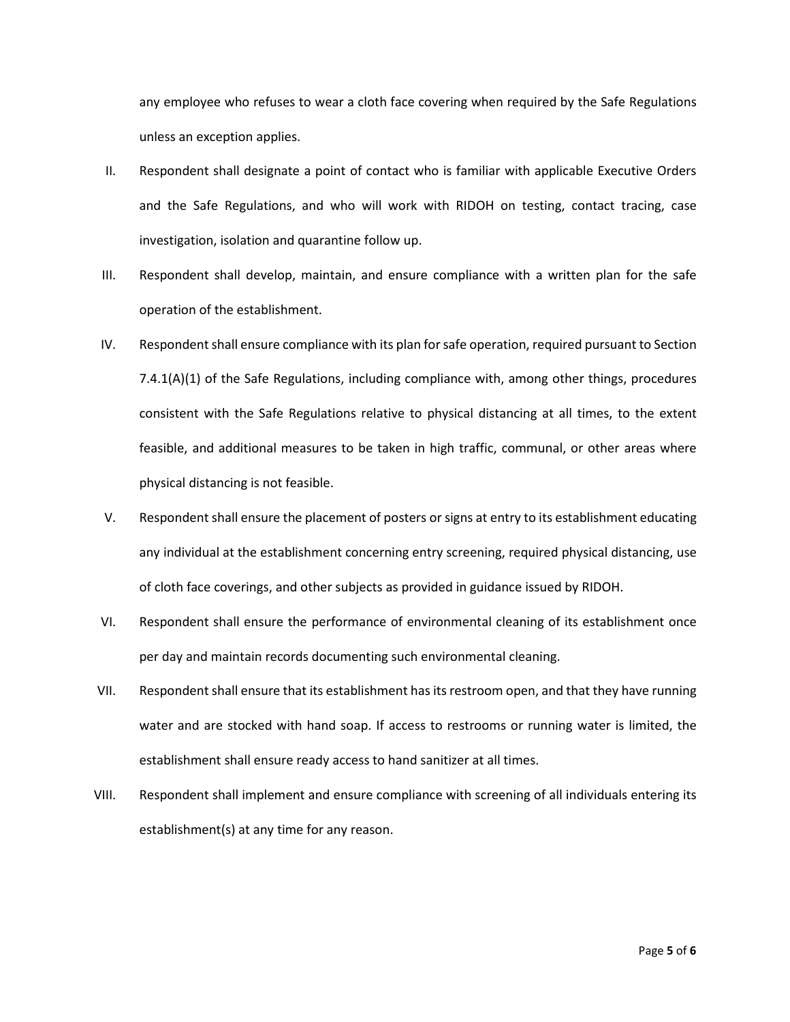any employee who refuses to wear a cloth face covering when required by the Safe Regulations unless an exception applies.

- II. Respondent shall designate a point of contact who is familiar with applicable Executive Orders and the Safe Regulations, and who will work with RIDOH on testing, contact tracing, case investigation, isolation and quarantine follow up.
- III. Respondent shall develop, maintain, and ensure compliance with a written plan for the safe operation of the establishment.
- IV. Respondent shall ensure compliance with its plan for safe operation, required pursuant to Section 7.4.1(A)(1) of the Safe Regulations, including compliance with, among other things, procedures consistent with the Safe Regulations relative to physical distancing at all times, to the extent feasible, and additional measures to be taken in high traffic, communal, or other areas where physical distancing is not feasible.
- V. Respondent shall ensure the placement of posters or signs at entry to its establishment educating any individual at the establishment concerning entry screening, required physical distancing, use of cloth face coverings, and other subjects as provided in guidance issued by RIDOH.
- VI. Respondent shall ensure the performance of environmental cleaning of its establishment once per day and maintain records documenting such environmental cleaning.
- VII. Respondent shall ensure that its establishment has itsrestroom open, and that they have running water and are stocked with hand soap. If access to restrooms or running water is limited, the establishment shall ensure ready access to hand sanitizer at all times.
- VIII. Respondent shall implement and ensure compliance with screening of all individuals entering its establishment(s) at any time for any reason.